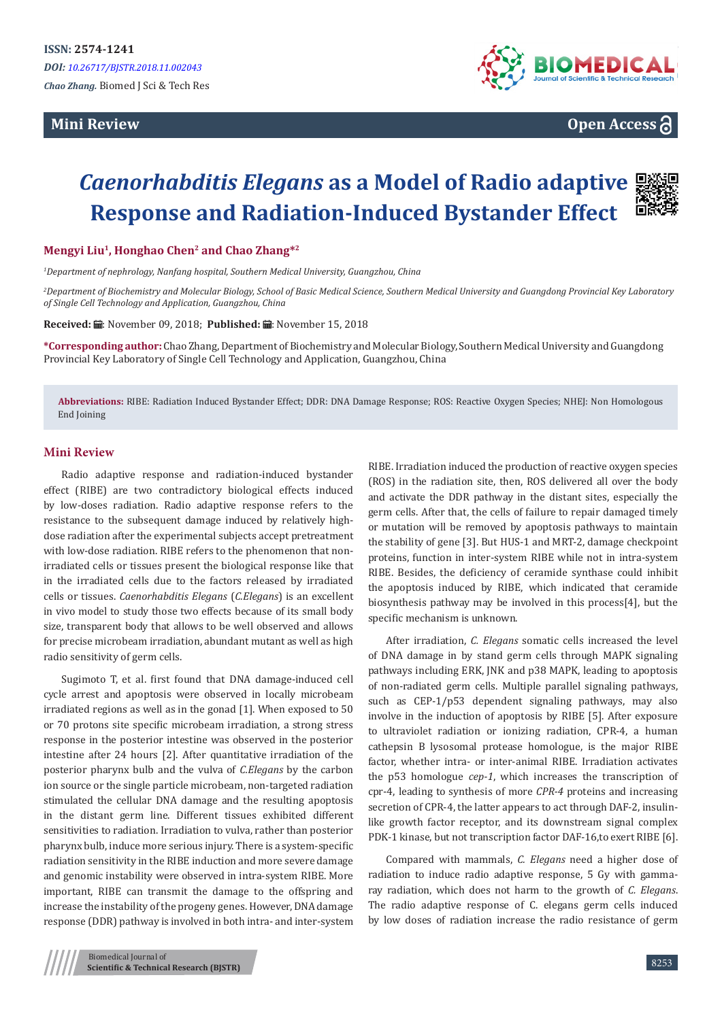# **Mini Review**



**Open Access**

# *Caenorhabditis Elegans* **as a Model of Radio adaptive Response and Radiation-Induced Bystander Effect**

### **Mengyi Liu<sup>1</sup>, Honghao Chen<sup>2</sup> and Chao Zhang\*<sup>2</sup>**

*1 Department of nephrology, Nanfang hospital, Southern Medical University, Guangzhou, China*

*2 Department of Biochemistry and Molecular Biology, School of Basic Medical Science, Southern Medical University and Guangdong Provincial Key Laboratory of Single Cell Technology and Application, Guangzhou, China*

Received: H: November 09, 2018; Published: H: November 15, 2018

**\*Corresponding author:** Chao Zhang, Department of Biochemistry and Molecular Biology, Southern Medical University and Guangdong Provincial Key Laboratory of Single Cell Technology and Application, Guangzhou, China

**Abbreviations:** RIBE: Radiation Induced Bystander Effect; DDR: DNA Damage Response; ROS: Reactive Oxygen Species; NHEJ: Non Homologous End Joining

#### **Mini Review**

Radio adaptive response and radiation-induced bystander effect (RIBE) are two contradictory biological effects induced by low-doses radiation. Radio adaptive response refers to the resistance to the subsequent damage induced by relatively highdose radiation after the experimental subjects accept pretreatment with low-dose radiation. RIBE refers to the phenomenon that nonirradiated cells or tissues present the biological response like that in the irradiated cells due to the factors released by irradiated cells or tissues. *Caenorhabditis Elegans* (*C.Elegans*) is an excellent in vivo model to study those two effects because of its small body size, transparent body that allows to be well observed and allows for precise microbeam irradiation, abundant mutant as well as high radio sensitivity of germ cells.

Sugimoto T, et al. first found that DNA damage-induced cell cycle arrest and apoptosis were observed in locally microbeam irradiated regions as well as in the gonad [1]. When exposed to 50 or 70 protons site specific microbeam irradiation, a strong stress response in the posterior intestine was observed in the posterior intestine after 24 hours [2]. After quantitative irradiation of the posterior pharynx bulb and the vulva of *C.Elegans* by the carbon ion source or the single particle microbeam, non-targeted radiation stimulated the cellular DNA damage and the resulting apoptosis in the distant germ line. Different tissues exhibited different sensitivities to radiation. Irradiation to vulva, rather than posterior pharynx bulb, induce more serious injury. There is a system-specific radiation sensitivity in the RIBE induction and more severe damage and genomic instability were observed in intra-system RIBE. More important, RIBE can transmit the damage to the offspring and increase the instability of the progeny genes. However, DNA damage response (DDR) pathway is involved in both intra- and inter-system

RIBE. Irradiation induced the production of reactive oxygen species (ROS) in the radiation site, then, ROS delivered all over the body and activate the DDR pathway in the distant sites, especially the germ cells. After that, the cells of failure to repair damaged timely or mutation will be removed by apoptosis pathways to maintain the stability of gene [3]. But HUS-1 and MRT-2, damage checkpoint proteins, function in inter-system RIBE while not in intra-system RIBE. Besides, the deficiency of ceramide synthase could inhibit the apoptosis induced by RIBE, which indicated that ceramide biosynthesis pathway may be involved in this process[4], but the specific mechanism is unknown.

After irradiation, *C. Elegans* somatic cells increased the level of DNA damage in by stand germ cells through MAPK signaling pathways including ERK, JNK and p38 MAPK, leading to apoptosis of non-radiated germ cells. Multiple parallel signaling pathways, such as CEP-1/p53 dependent signaling pathways, may also involve in the induction of apoptosis by RIBE [5]. After exposure to ultraviolet radiation or ionizing radiation, CPR-4, a human cathepsin B lysosomal protease homologue, is the major RIBE factor, whether intra- or inter-animal RIBE. Irradiation activates the p53 homologue *cep-1*, which increases the transcription of cpr-4, leading to synthesis of more *CPR-4* proteins and increasing secretion of CPR-4, the latter appears to act through DAF-2, insulinlike growth factor receptor, and its downstream signal complex PDK-1 kinase, but not transcription factor DAF-16,to exert RIBE [6].

Compared with mammals, *C. Elegans* need a higher dose of radiation to induce radio adaptive response, 5 Gy with gammaray radiation, which does not harm to the growth of *C. Elegans*. The radio adaptive response of C. elegans germ cells induced by low doses of radiation increase the radio resistance of germ